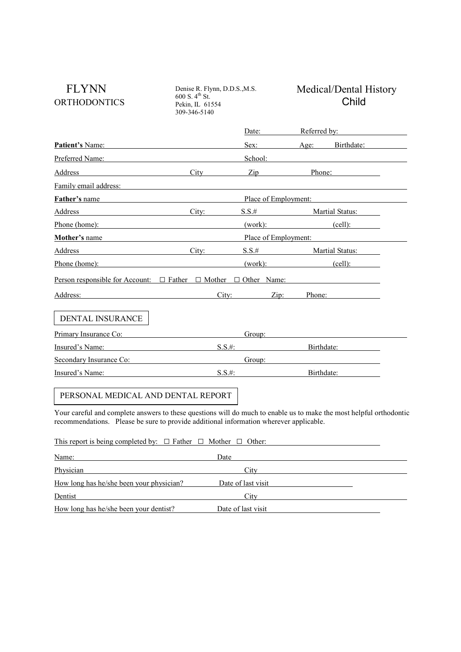| <b>FLYNN</b><br><b>ORTHODONTICS</b>                                                                                                                                                                                            | Denise R. Flynn, D.D.S., M.S.<br>600 S. 4 <sup>th</sup> St.<br>Pekin, IL 61554<br>309-346-5140 |                             | Medical/Dental History<br>Child                                                                                                                                                                                                |
|--------------------------------------------------------------------------------------------------------------------------------------------------------------------------------------------------------------------------------|------------------------------------------------------------------------------------------------|-----------------------------|--------------------------------------------------------------------------------------------------------------------------------------------------------------------------------------------------------------------------------|
|                                                                                                                                                                                                                                |                                                                                                | Date:                       | Referred by:                                                                                                                                                                                                                   |
| Patient's Name:                                                                                                                                                                                                                |                                                                                                |                             | Sex: Age: Birthdate:                                                                                                                                                                                                           |
| Preferred Name:                                                                                                                                                                                                                |                                                                                                |                             |                                                                                                                                                                                                                                |
| Address                                                                                                                                                                                                                        | $\mathbf{C}$ ity                                                                               | $\overline{Lip}$            | Phone:                                                                                                                                                                                                                         |
|                                                                                                                                                                                                                                |                                                                                                |                             | Family email address: The contract of the contract of the contract of the contract of the contract of the contract of the contract of the contract of the contract of the contract of the contract of the contract of the cont |
| Father's name                                                                                                                                                                                                                  |                                                                                                |                             | Place of Employment:                                                                                                                                                                                                           |
| Address                                                                                                                                                                                                                        | City:                                                                                          | $S.S.$ #                    | Martial Status:                                                                                                                                                                                                                |
| Phone (home):                                                                                                                                                                                                                  |                                                                                                |                             | $(work):$ $(cell):$                                                                                                                                                                                                            |
|                                                                                                                                                                                                                                |                                                                                                |                             | <b>Mother's name</b> Place of Employment:                                                                                                                                                                                      |
| Address                                                                                                                                                                                                                        | City:                                                                                          |                             | S.S.# Martial Status:                                                                                                                                                                                                          |
| Phone (home):                                                                                                                                                                                                                  |                                                                                                | (work):                     | $\left(\text{cell}\right)$ :                                                                                                                                                                                                   |
|                                                                                                                                                                                                                                |                                                                                                |                             | Person responsible for Account: $\Box$ Father $\Box$ Mother $\Box$ Other Name:                                                                                                                                                 |
|                                                                                                                                                                                                                                |                                                                                                |                             |                                                                                                                                                                                                                                |
| Address: Analysis and the same state of the state of the state of the state of the state of the state of the state of the state of the state of the state of the state of the state of the state of the state of the state of  |                                                                                                | City:<br>$\overline{Lip}$ : | Phone:                                                                                                                                                                                                                         |
| <b>DENTAL INSURANCE</b>                                                                                                                                                                                                        |                                                                                                |                             |                                                                                                                                                                                                                                |
| Primary Insurance Co: example and a material contract of the state of the state of the state of the state of the state of the state of the state of the state of the state of the state of the state of the state of the state |                                                                                                | Group:                      |                                                                                                                                                                                                                                |
| Insured's Name: <u>contained</u>                                                                                                                                                                                               | $S.S.$ #:                                                                                      |                             | Birthdate:                                                                                                                                                                                                                     |
| Secondary Insurance Co: Secondary Insurance Co:                                                                                                                                                                                |                                                                                                |                             | Group: The Contract of the Contract of the Contract of the Contract of the Contract of the Contract of the Contract of the Contract of the Contract of the Contract of the Contract of the Contract of the Contract of the Con |

Your careful and complete answers to these questions will do much to enable us to make the most helpful orthodontic recommendations. Please be sure to provide additional information wherever applicable.

| This report is being completed by: $\Box$ Father $\Box$ Mother $\Box$ Other: |                    |  |
|------------------------------------------------------------------------------|--------------------|--|
| Name:                                                                        | Date               |  |
| Physician                                                                    | City               |  |
| How long has he/she been your physician?                                     | Date of last visit |  |
| Dentist                                                                      | City               |  |
| How long has he/she been your dentist?                                       | Date of last visit |  |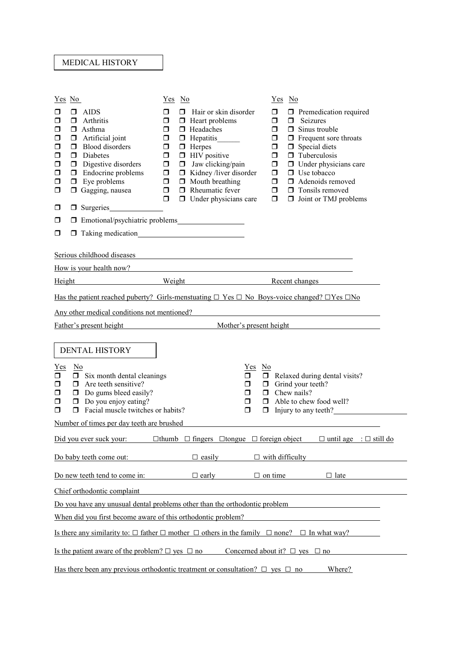## MEDICAL HISTORY

| Yes No                                                                                                                                                                                              |                                                                                                                                                                                                                                    | <u>Yes</u> No                                                                                              |                                                                                                                                                                                                                                                                                      | <u>Yes</u> No                                                                                              |                                                                                                                                                                                                                                                                                                    |  |  |
|-----------------------------------------------------------------------------------------------------------------------------------------------------------------------------------------------------|------------------------------------------------------------------------------------------------------------------------------------------------------------------------------------------------------------------------------------|------------------------------------------------------------------------------------------------------------|--------------------------------------------------------------------------------------------------------------------------------------------------------------------------------------------------------------------------------------------------------------------------------------|------------------------------------------------------------------------------------------------------------|----------------------------------------------------------------------------------------------------------------------------------------------------------------------------------------------------------------------------------------------------------------------------------------------------|--|--|
| □<br>◘<br>□<br>□<br>◘<br>◘<br>$\Box$<br>◘<br>$\Box$<br>□                                                                                                                                            | ◘.<br>AIDS<br>$\Box$<br>Arthritis<br>$\Box$ Asthma<br>Artificial joint<br>σ<br><b>Blood</b> disorders<br>σ<br>Diabetes<br>σ.<br>Digestive disorders<br>□<br>Endocrine problems<br>$\Box$<br>$\Box$ Eye problems<br>Gagging, nausea | $\Box$<br>$\Box$<br>$\Box$<br>$\Box$<br>$\Box$<br>$\Box$<br>$\Box$<br>$\Box$<br>$\Box$<br>$\Box$<br>$\Box$ | $\Box$ Hair or skin disorder<br>$\Box$ Heart problems<br>$\Box$ Headaches<br>Hepatitis______<br>$\Box$ Herpes<br>$\Box$ HIV positive<br>$\Box$ Jaw clicking/pain<br>$\Box$ Kidney/liver disorder<br>$\Box$ Mouth breathing<br>$\Box$ Rheumatic fever<br>$\Box$ Under physicians care | $\Box$<br>$\Box$<br>$\Box$<br>$\Box$<br>$\Box$<br>$\Box$<br>$\Box$<br>$\Box$<br>$\Box$<br>$\Box$<br>$\Box$ | $\Box$ Premedication required<br>$\Box$ Seizures<br>$\Box$ Sinus trouble<br>$\Box$ Frequent sore throats<br>$\Box$ Special diets<br>$\Box$ Tuberculosis<br>$\Box$ Under physicians care<br>$\Box$ Use tobacco<br>$\Box$ Adenoids removed<br>$\Box$ Tonsils removed<br>$\Box$ Joint or TMJ problems |  |  |
| □                                                                                                                                                                                                   | $\Box$ Surgeries<br><u> 1999 - Jan Jawa</u>                                                                                                                                                                                        |                                                                                                            |                                                                                                                                                                                                                                                                                      |                                                                                                            |                                                                                                                                                                                                                                                                                                    |  |  |
| $\Box$                                                                                                                                                                                              | □ Emotional/psychiatric problems                                                                                                                                                                                                   |                                                                                                            |                                                                                                                                                                                                                                                                                      |                                                                                                            |                                                                                                                                                                                                                                                                                                    |  |  |
| □                                                                                                                                                                                                   |                                                                                                                                                                                                                                    |                                                                                                            |                                                                                                                                                                                                                                                                                      |                                                                                                            |                                                                                                                                                                                                                                                                                                    |  |  |
|                                                                                                                                                                                                     | Serious childhood diseases<br>How is your health now?<br><u> 1980 - Johann Barn, mars ann an t-Amhain Aonaich an t-Aonaich an t-Aonaich an t-Aonaich an t-Aonaich an t-Aon</u>                                                     |                                                                                                            |                                                                                                                                                                                                                                                                                      |                                                                                                            |                                                                                                                                                                                                                                                                                                    |  |  |
| <b>Height</b>                                                                                                                                                                                       |                                                                                                                                                                                                                                    |                                                                                                            | <b>Example 19 All Serverse Street Contract Serverse Street Contract Serverse Street Contract Serverse Street American</b>                                                                                                                                                            |                                                                                                            |                                                                                                                                                                                                                                                                                                    |  |  |
|                                                                                                                                                                                                     |                                                                                                                                                                                                                                    |                                                                                                            | Has the patient reached puberty? Girls-menstuating $\Box$ Yes $\Box$ No Boys-voice changed? $\Box$ Yes $\Box$ No                                                                                                                                                                     |                                                                                                            |                                                                                                                                                                                                                                                                                                    |  |  |
|                                                                                                                                                                                                     | Any other medical conditions not mentioned?                                                                                                                                                                                        |                                                                                                            |                                                                                                                                                                                                                                                                                      |                                                                                                            |                                                                                                                                                                                                                                                                                                    |  |  |
|                                                                                                                                                                                                     | Father's present height                                                                                                                                                                                                            |                                                                                                            |                                                                                                                                                                                                                                                                                      |                                                                                                            | Mother's present height                                                                                                                                                                                                                                                                            |  |  |
| $Yes$<br>$\Box$<br>□<br>$\Box$<br>Ω<br>$\Box$                                                                                                                                                       | DENTAL HISTORY<br>$\mathbf{N}\mathbf{o}$<br>$\Box$ Six month dental cleanings<br>$\Box$ Are teeth sensitive?<br>$\Box$ Do gums bleed easily?<br>$\Box$ Do you enjoy eating?<br>Facial muscle twitches or habits?<br>$\Box$         |                                                                                                            | $\mathbf{N}\mathbf{o}$<br>Yes<br>π.<br>$\Box$<br>$\Box$<br>$\Box$<br>$\Box$                                                                                                                                                                                                          |                                                                                                            | $\Box$ Relaxed during dental visits?<br>$\Box$ Grind your teeth?<br>$\Box$ Chew nails?<br>$\Box$ Able to chew food well?<br>$\Box$ Injury to any teeth? $\Box$                                                                                                                                     |  |  |
|                                                                                                                                                                                                     | Number of times per day teeth are brushed                                                                                                                                                                                          |                                                                                                            |                                                                                                                                                                                                                                                                                      |                                                                                                            |                                                                                                                                                                                                                                                                                                    |  |  |
| $\Box$ thumb $\Box$ fingers $\Box$ tongue $\Box$ foreign object $\Box$ until age : $\Box$ still do<br>Did you ever suck your:<br>$\Box$ easily<br>$\Box$ with difficulty<br>Do baby teeth come out: |                                                                                                                                                                                                                                    |                                                                                                            |                                                                                                                                                                                                                                                                                      |                                                                                                            |                                                                                                                                                                                                                                                                                                    |  |  |
|                                                                                                                                                                                                     | Do new teeth tend to come in: $\Box$ early                                                                                                                                                                                         |                                                                                                            |                                                                                                                                                                                                                                                                                      |                                                                                                            | $\Box$ on time<br>$\Box$ late                                                                                                                                                                                                                                                                      |  |  |
|                                                                                                                                                                                                     |                                                                                                                                                                                                                                    |                                                                                                            |                                                                                                                                                                                                                                                                                      |                                                                                                            |                                                                                                                                                                                                                                                                                                    |  |  |
|                                                                                                                                                                                                     | Chief orthodontic complaint                                                                                                                                                                                                        |                                                                                                            |                                                                                                                                                                                                                                                                                      |                                                                                                            |                                                                                                                                                                                                                                                                                                    |  |  |
| Do you have any unusual dental problems other than the orthodontic problem<br>When did you first become aware of this orthodontic problem?                                                          |                                                                                                                                                                                                                                    |                                                                                                            |                                                                                                                                                                                                                                                                                      |                                                                                                            |                                                                                                                                                                                                                                                                                                    |  |  |
| Is there any similarity to: $\Box$ father $\Box$ mother $\Box$ others in the family $\Box$ none? $\Box$ In what way?                                                                                |                                                                                                                                                                                                                                    |                                                                                                            |                                                                                                                                                                                                                                                                                      |                                                                                                            |                                                                                                                                                                                                                                                                                                    |  |  |
| Is the patient aware of the problem? $\Box$ yes $\Box$ no<br>Concerned about it? $\Box$ yes $\Box$ no                                                                                               |                                                                                                                                                                                                                                    |                                                                                                            |                                                                                                                                                                                                                                                                                      |                                                                                                            |                                                                                                                                                                                                                                                                                                    |  |  |
| Has there been any previous orthodontic treatment or consultation? $\square$ yes $\square$ no<br>Where?                                                                                             |                                                                                                                                                                                                                                    |                                                                                                            |                                                                                                                                                                                                                                                                                      |                                                                                                            |                                                                                                                                                                                                                                                                                                    |  |  |